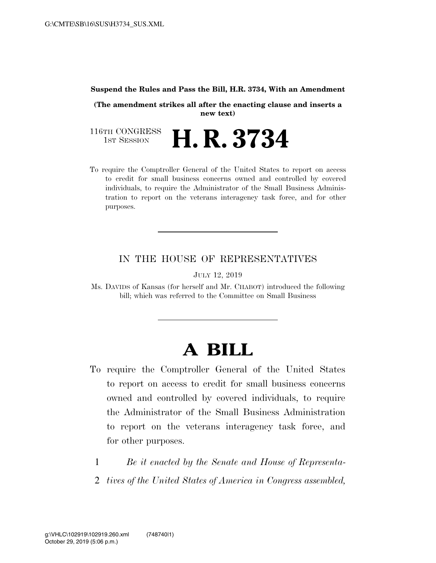#### **Suspend the Rules and Pass the Bill, H.R. 3734, With an Amendment**

**(The amendment strikes all after the enacting clause and inserts a new text)** 

116TH CONGRESS<br>1st Session **H. R. 3734** 

To require the Comptroller General of the United States to report on access to credit for small business concerns owned and controlled by covered individuals, to require the Administrator of the Small Business Administration to report on the veterans interagency task force, and for other purposes.

### IN THE HOUSE OF REPRESENTATIVES

JULY 12, 2019

Ms. DAVIDS of Kansas (for herself and Mr. CHABOT) introduced the following bill; which was referred to the Committee on Small Business

# **A BILL**

- To require the Comptroller General of the United States to report on access to credit for small business concerns owned and controlled by covered individuals, to require the Administrator of the Small Business Administration to report on the veterans interagency task force, and for other purposes.
	- 1 *Be it enacted by the Senate and House of Representa-*
	- 2 *tives of the United States of America in Congress assembled,*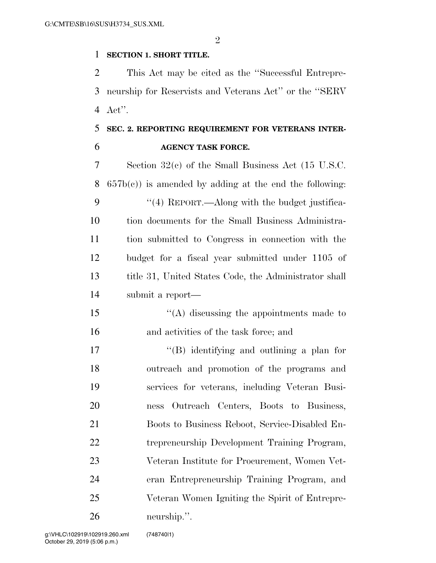#### **SECTION 1. SHORT TITLE.**

 This Act may be cited as the ''Successful Entrepre- neurship for Reservists and Veterans Act'' or the ''SERV Act''.

## **SEC. 2. REPORTING REQUIREMENT FOR VETERANS INTER-AGENCY TASK FORCE.**

 Section 32(c) of the Small Business Act (15 U.S.C.  $657b(c)$  is amended by adding at the end the following: 9 "(4) REPORT.—Along with the budget justifica- tion documents for the Small Business Administra- tion submitted to Congress in connection with the budget for a fiscal year submitted under 1105 of 13 title 31, United States Code, the Administrator shall submit a report— ''(A) discussing the appointments made to and activities of the task force; and 17 ''(B) identifying and outlining a plan for outreach and promotion of the programs and services for veterans, including Veteran Busi- ness Outreach Centers, Boots to Business, Boots to Business Reboot, Service-Disabled En- trepreneurship Development Training Program, Veteran Institute for Procurement, Women Vet- eran Entrepreneurship Training Program, and Veteran Women Igniting the Spirit of Entrepre-neurship.''.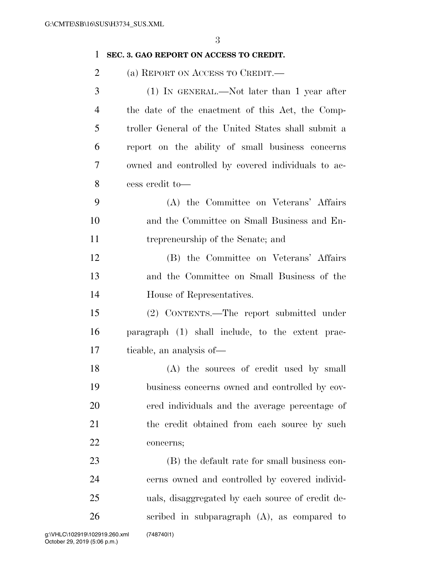### **SEC. 3. GAO REPORT ON ACCESS TO CREDIT.**

(a) REPORT ON ACCESS TO CREDIT.—

| 3              | (1) IN GENERAL.—Not later than 1 year after         |
|----------------|-----------------------------------------------------|
| $\overline{4}$ | the date of the enactment of this Act, the Comp-    |
| 5              | troller General of the United States shall submit a |
| 6              | report on the ability of small business concerns    |
| 7              | owned and controlled by covered individuals to ac-  |
| 8              | cess credit to-                                     |
| 9              | (A) the Committee on Veterans' Affairs              |
| 10             | and the Committee on Small Business and En-         |
| 11             | trepreneurship of the Senate; and                   |
| 12             | (B) the Committee on Veterans' Affairs              |
| 13             | and the Committee on Small Business of the          |
| 14             | House of Representatives.                           |
| 15             | (2) CONTENTS.—The report submitted under            |
| 16             | paragraph (1) shall include, to the extent prac-    |
| 17             | ticable, an analysis of—                            |
| 18             | (A) the sources of credit used by small             |
| 19             | business concerns owned and controlled by cov-      |
| 20             | ered individuals and the average percentage of      |
| 21             | the credit obtained from each source by such        |
| 22             | concerns;                                           |
| 23             | (B) the default rate for small business con-        |
| 24             | cerns owned and controlled by covered individ-      |

uals, disaggregated by each source of credit de-

scribed in subparagraph (A), as compared to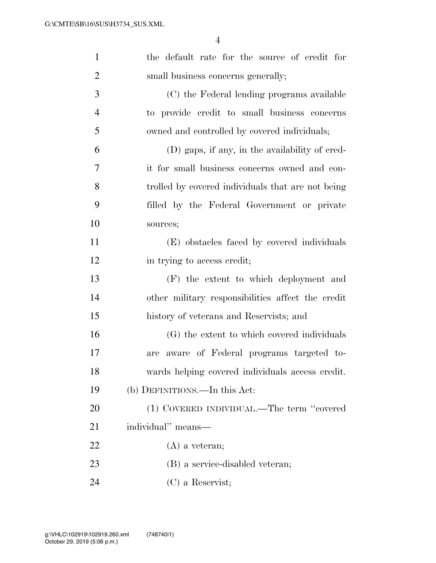| $\mathbf{1}$   | the default rate for the source of credit for     |
|----------------|---------------------------------------------------|
| $\overline{2}$ | small business concerns generally;                |
| 3              | (C) the Federal lending programs available        |
| $\overline{4}$ | to provide credit to small business concerns      |
| 5              | owned and controlled by covered individuals;      |
| 6              | (D) gaps, if any, in the availability of cred-    |
| 7              | it for small business concerns owned and con-     |
| 8              | trolled by covered individuals that are not being |
| 9              | filled by the Federal Government or private       |
| 10             | sources;                                          |
| 11             | (E) obstacles faced by covered individuals        |
| 12             | in trying to access credit;                       |
| 13             | (F) the extent to which deployment and            |
| 14             | other military responsibilities affect the credit |
| 15             | history of veterans and Reservists; and           |
| 16             | (G) the extent to which covered individuals       |
| 17             | aware of Federal programs targeted to-<br>are     |
| 18             | wards helping covered individuals access credit.  |
| 19             | (b) DEFINITIONS.—In this Act:                     |
| 20             | (1) COVERED INDIVIDUAL.—The term "covered         |
| 21             | individual" means—                                |
| 22             | $(A)$ a veteran;                                  |
| 23             | (B) a service-disabled veteran;                   |
| 24             | $(C)$ a Reservist;                                |